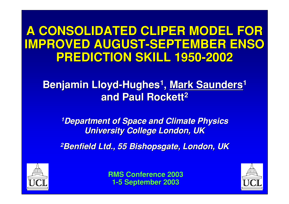#### **A CONSOLIDATED CLIPER MODEL FOR A CONSOLIDATED CLIPER MODEL FOR IMPROVED AUGUST-SEPTEMBER ENSO IMPROVED AUGUST-SEPTEMBER ENSO PREDICTION SKILL 1950-2002 PREDICTION SKILL 1950-2002**

 $\mathbf{Benjamin\ Lloyd\text{-}Hughes^1, \text{ Mark Saunders^1} }$ **and Paul Rockett and Paul Rockett 2**

*1Department of Space and Climate Physics University College London, UK University College London, UK*

**2Benfield Ltd., 55 Bishopsgate, London, UK** 



**RMS Conference 2003 RMS Conference 2003 1-5 September 2003 1-5 September 2003**

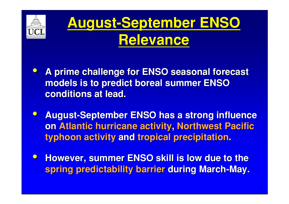

## **August-September ENSO August-September ENSO Relevance Relevance**

- $\bullet$  **A prime challenge for ENSO seasonal forecast A prime challenge for ENSO seasonal forecast models is to predict boreal summer ENSO models is to predict boreal summer ENSO conditions at lead. conditions at lead.**
- $\bullet$ **August-September ENSO has a strong influence on Atlantic hurricane activity, Northwest Pacific typhoon activity and tropical precipitation.**
- $\bullet$ **However, summer ENSO skill is low due to the spring predictability barrier during March-May.**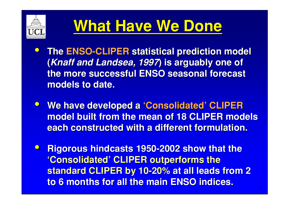

## **What Have We Done What Have We Done**

- **The ENSO-CLIPER statistical prediction model (***Knaff and Landsea Landsea, 1997***) is arguably one of ) is arguably one of the more successful ENSO seasonal forecast the more successful ENSO seasonal forecast models to date. models to date.**
- **We have developed a 'Consolidated' CLIPER model built from the mean of 18 CLIPER models each constructed with a different formulation. each constructed with a different formulation.**
- $\bullet$ **Rigorous hindcasts 1950-2002 show that the 'Consolidated' CLIPER outperforms the standard CLIPER by 10-20% at all leads from 2 to 6 months for all the main ENSO indices. to 6 months for all the main ENSO indices.**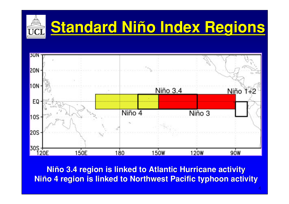



**Niño 3.4 region is linked to Atlantic Hurricane activity 3.4 region is linked to Atlantic Hurricane activity Niño 4 region is linked to Northwest Pacific typhoon activity 4 region is linked to Northwest Pacific typhoon activity**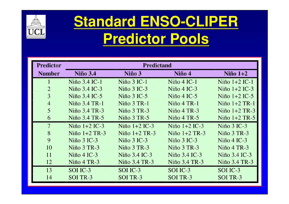

# **Standard ENSO-CLIPER Standard ENSO-CLIPER Predictor Pools Predictor Pools**

| <b>Predictor</b> | <b>Predictand</b>     |                          |                        |                        |  |  |
|------------------|-----------------------|--------------------------|------------------------|------------------------|--|--|
| <b>Number</b>    | <b>Niño 3.4</b>       | Niño 3                   | Niño 4                 | $Ni\tilde{n}$ o 1+2    |  |  |
|                  | Niño 3.4 IC-1         | $Ni\tilde{p}$ 3 IC-1     | $Ni\tilde{p}$ o 4 IC-1 | Niño $1+2$ IC-1        |  |  |
| $\overline{2}$   | Niño 3.4 IC-3         | $Ni\tilde{p}$ 3 IC-3     | $Ni\tilde{p}$ o 4 IC-3 | Niño $1+2$ IC-3        |  |  |
| 3                | Niño 3.4 IC-5         | $Ni\tilde{p}$ 3 IC-5     | $Ni\tilde{p}$ 4 IC-5   | Niño $1+2$ IC-5        |  |  |
| $\overline{4}$   | Niño 3.4 TR-1         | Niño 3 TR-1              | Niño 4 TR-1            | $Ni\tilde{p}$ 1+2 TR-1 |  |  |
| 5                | Niño 3.4 TR-3         | $Ni\tilde{p}$ 3 TR-3     | Niño 4 TR-3            | Niño $1+2$ TR-3        |  |  |
| 6                | Niño 3.4 TR-5         | $Ni\tilde{p}$ 3 TR-5     | $Ni\tilde{p}o$ 4 TR-5  | Niño $1+2$ TR-5        |  |  |
| $\overline{7}$   | Niño $1+2$ IC-3       | $Ni\tilde{p}$ o 1+2 IC-3 | Niño $1+2$ IC-3        | Niño 3 IC-3            |  |  |
| 8                | Niño $1+2$ TR-3       | Niño $1+2$ TR-3          | Niño $1+2$ TR-3        | $Ni\tilde{p}$ 3 TR-3   |  |  |
| 9                | $Ni\tilde{p}$ 3 IC-3  | $Ni\tilde{p}$ 3 IC-3     | $Ni\tilde{p}$ 3 IC-3   | $Ni\tilde{p}$ o 4 IC-3 |  |  |
| 10               | $Ni\tilde{p}$ 3 TR-3  | $Ni\tilde{p}$ 3 TR-3     | Niño 3 TR-3            | $Ni\tilde{p}o$ 4 TR-3  |  |  |
| 11               | $Ni\tilde{p}$ 4 IC-3  | Niño $3.4$ IC-3          | Niño $3.4$ IC-3        | Niño $3.4$ IC-3        |  |  |
| 12               | $Ni\tilde{p}o$ 4 TR-3 | Niño 3.4 TR-3            | Niño 3.4 TR-3          | Niño 3.4 TR-3          |  |  |
| 13               | SOI IC-3              | SOI IC-3                 | SOI IC-3               | SOI IC-3               |  |  |
| 14               | SOI TR-3              | SOI TR-3                 | SOI TR-3               | SOI TR-3               |  |  |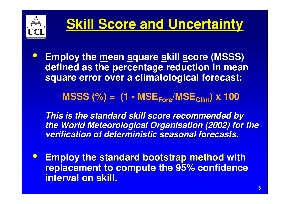

## **Skill Score and Uncertainty Skill Score and Uncertainty**

 $\bullet$ **Employ the mean square skill score (MSSS) defined as the percentage reduction in mean defined as the percentage reduction in mean square error over a climatological forecast:** 

 $MSSS (%) = (1 - MSE_{Error} / MSE_{Clim})$  x 100

*This is the standard skill score recommended by This is the standard skill score recommended by the World Meteorological Organisation (2002) for the the World Meteorological Organisation (2002) for the verification of deterministic seasonal forecasts. verification of deterministic seasonal forecasts.*

 $\bullet$ **Employ the standard bootstrap method with replacement to compute the 95% confidence interval on skill. interval on skill.**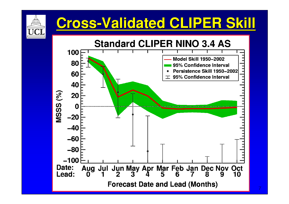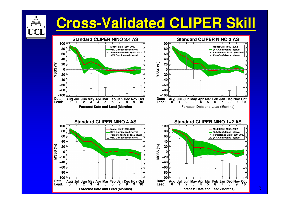#### **Cross-Validated CLIPER Skill Cross-Validated CLIPER Skill**

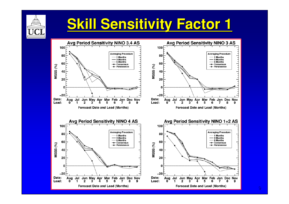

#### **Skill Sensitivity Factor 1 Skill Sensitivity Factor 1**

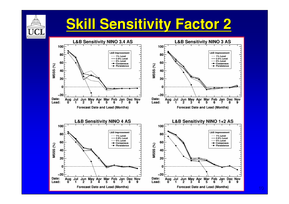

#### **Skill Sensitivity Factor 2**

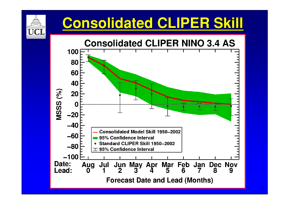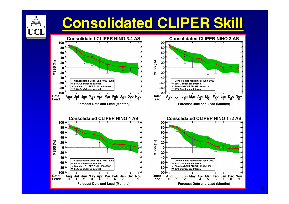

## **Consolidated CLIPER Skill Consolidated CLIPER Skill**

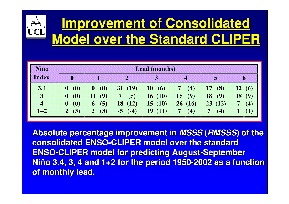# **Improvement of Consolidated Improvement of Consolidated Model over the Standard CLIPER Model over the Standard CLIPER**

| Niño                     | <b>Lead</b> (months)         |                         |             |            |           |                   |                  |  |  |
|--------------------------|------------------------------|-------------------------|-------------|------------|-----------|-------------------|------------------|--|--|
| Index                    | $\bf{0}$                     |                         |             |            | $\Delta$  | $\mathbf{S}$      | Đ                |  |  |
| 3.4                      | $\boldsymbol{0}$<br>$\bf{0}$ | (0)<br>$\boldsymbol{0}$ | 31(19)      | 10(6)      | (4)<br>7  | (8)<br>17         | 12(6)            |  |  |
| $\overline{3}$           | $\boldsymbol{0}$<br>$\bf{0}$ | (9)<br>11.              | 7<br>(5)    | 16(10)     | (9)<br>15 | (9)<br>18         | <b>18</b><br>(9) |  |  |
| $\overline{\mathcal{A}}$ | $\boldsymbol{0}$<br>$\bf{0}$ | (5)<br>6                | 18(12)      | 15(10)     | 26(16)    | 23(12)            | (4)              |  |  |
| $1 + 2$                  | (3)                          | (3)<br>2                | $-5$ $(-4)$ | 19<br>(11) | (4)       | $\left( 4\right)$ |                  |  |  |

**Absolute percentage improvement in Absolute percentage improvement in** *MSSS* **(***RMSSS***) of the ) of the consolidated ENSO-CLIPER model over the standard consolidated ENSO-CLIPER model over the standard ENSO-CLIPER model for predicting August-September Niño 3.4, 3, 4 and 1+2 for the period 1950-2002 as a function 3.4, 3, 4 and 1+2 for the period 1950-2002 as a function of monthly lead. of monthly lead.**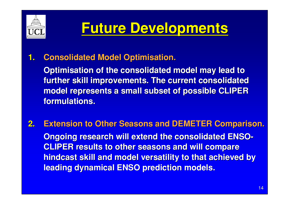

#### **Future Developments Future Developments**

#### **1. Consolidated Model Optimisation.**

**Optimisation of the consolidated model may lead to further skill improvements. The current consolidated further skill improvements. The current consolidated model represents a small subset of possible CLIPER model represents a small subset of possible CLIPER formulations. formulations.**

**2. Extension to Other Seasons and DEMETER Comparison. Extension to Other Seasons and DEMETER Comparison. Ongoing research will extend the consolidated ENSO-CLIPER results to other seasons and will compare CLIPER results to other seasons and will compare hindcast hindcast skill and model versatility to that achieved by skill and model versatility to that achieved by leading dynamical ENSO prediction models.**